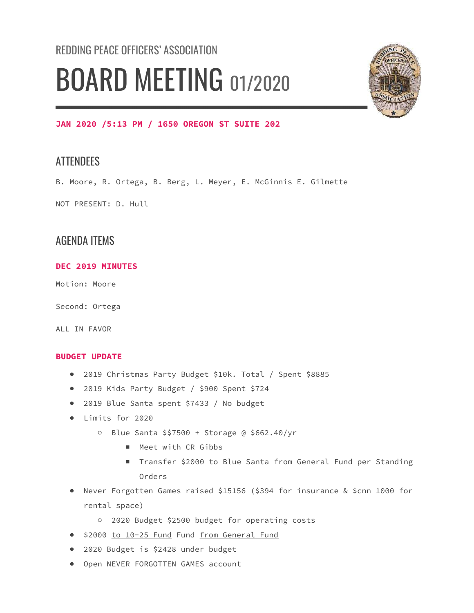# REDDING PEACE OFFICERS' ASSOCIATION BOARD MEETING 01/2020



#### JAN 2020 /5:13 PM / 1650 OREGON ST SUITE 202

## **ATTENDEES**

B. Moore, R. Ortega, B. Berg, L. Meyer, E. McGinnis E. Gilmette

NOT PRESENT: D. Hull

## AGENDA ITEMS

#### DEC 2019 MINUTES

Motion: Moore

Second: Ortega

ALL IN FAVOR

#### BUDGET UPDATE

- 2019 Christmas Party Budget \$10k. Total / Spent \$8885
- 2019 Kids Party Budget / \$900 Spent \$724
- 2019 Blue Santa spent \$7433 / No budget
- Limits for 2020
	- Blue Santa \$\$7500 + Storage @ \$662.40/yr
		- Meet with CR Gibbs
		- Transfer \$2000 to Blue Santa from General Fund per Standing Orders
- Never Forgotten Games raised \$15156 (\$394 for insurance & \$cnn 1000 for rental space)
	- 2020 Budget \$2500 budget for operating costs
- \$2000 to 10-25 Fund Fund from General Fund
- 2020 Budget is \$2428 under budget
- Open NEVER FORGOTTEN GAMES account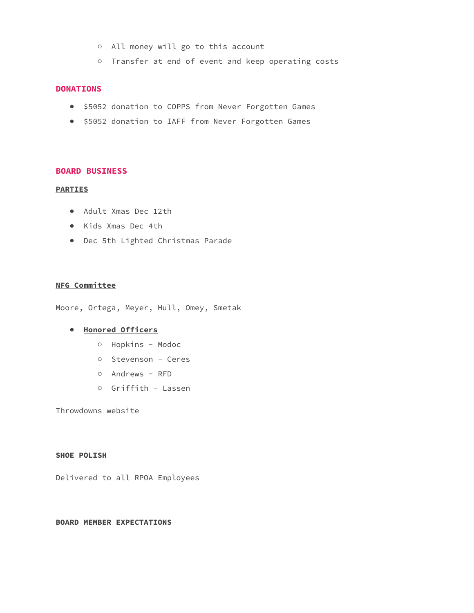- All money will go to this account
- Transfer at end of event and keep operating costs

#### DONATIONS

- \$5052 donation to COPPS from Never Forgotten Games
- \$5052 donation to IAFF from Never Forgotten Games

#### BOARD BUSINESS

#### PARTIES

- Adult Xmas Dec 12th
- Kids Xmas Dec 4th
- Dec 5th Lighted Christmas Parade

#### NFG Committee

Moore, Ortega, Meyer, Hull, Omey, Smetak

#### ● Honored Officers

- Hopkins Modoc
- Stevenson Ceres
- Andrews RFD
- Griffith Lassen

Throwdowns website

#### SHOE POLISH

Delivered to all RPOA Employees

#### BOARD MEMBER EXPECTATIONS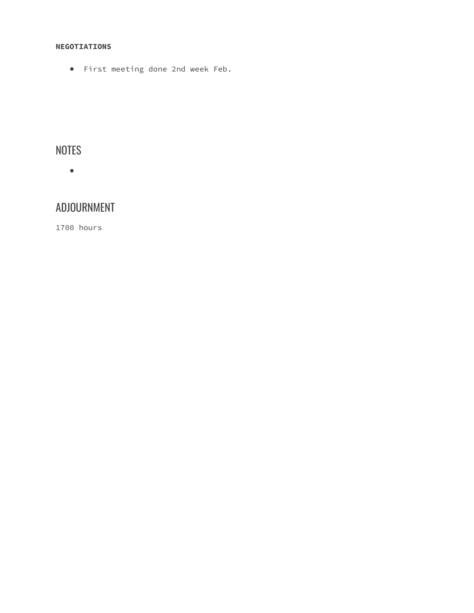#### NEGOTIATIONS

● First meeting done 2nd week Feb.

# NOTES

●

# ADJOURNMENT

1700 hours